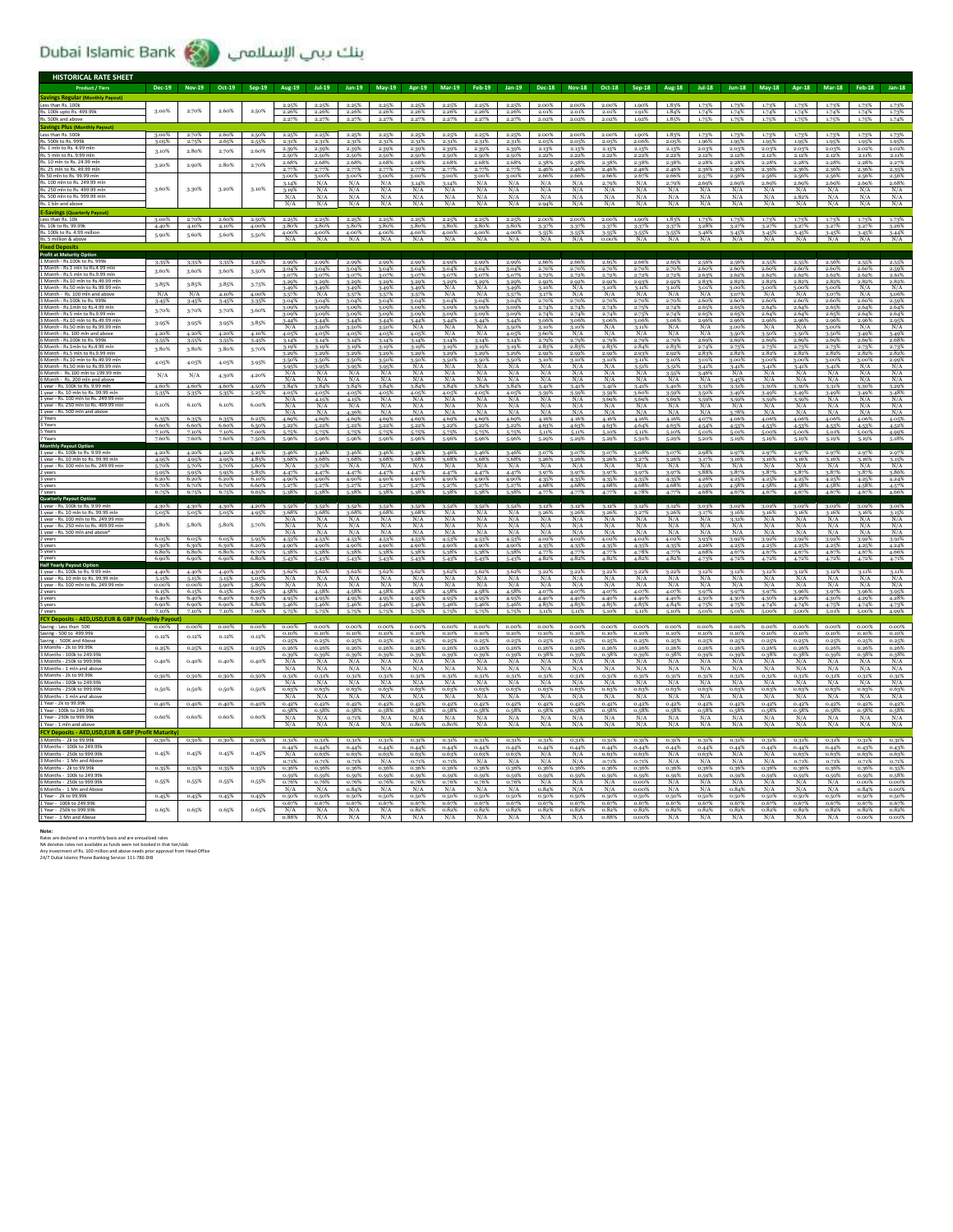## ينك بيبي الإسلامبي (Dubai Islamic Bank

| <b>HISTORICAL RATE SHEET</b>                                                  |                  |                |                  |                |                |                      |                             |                      |                      |                      |                |                |                  |                   |                            |                |                  |                |                |                |                |                      |                |                               |
|-------------------------------------------------------------------------------|------------------|----------------|------------------|----------------|----------------|----------------------|-----------------------------|----------------------|----------------------|----------------------|----------------|----------------|------------------|-------------------|----------------------------|----------------|------------------|----------------|----------------|----------------|----------------|----------------------|----------------|-------------------------------|
| <b>Product / Tiers</b>                                                        | Dec-19           | <b>Nov-19</b>  | Oct-19           | Sep-19         | Aug-19         | <b>Jul-19</b>        | $lun-19$                    | $Mav-19$             | Apr-19               | <b>Mar-19</b>        | <b>Feb-19</b>  | $Jan-19$       | <b>Dec-18</b>    | <b>Nov-18</b>     | Oct-18                     | <b>Sep-18</b>  | <b>Aug-18</b>    | <b>Jul-18</b>  | $Iun-18$       | <b>May-18</b>  | Apr-18         | <b>Mar-18</b>        | <b>Feb-18</b>  | $Jan-18$                      |
| Less than Rs. 100k                                                            |                  |                |                  |                | 2.25%          | 2.25%                | 2.25%                       | 2.25%                | 2.25%                | 2.25%                | 2.25%          | 2.25%          | 2.00%            | 2.00%             | -2.00%                     | 1.90%          | 1.83%            | 1.73%          | 1.73%          | 1.73%          | 1.73%          | 1.73%                | 1.73%          |                               |
| Rs. 100k upto Rs. 499.99k                                                     | 3.00%            | 2.70%          | 2.60%            | 2.50%          | 2.26%          | 2.26%                | 2.26%                       | 2.26%                | 2.26%                | 2.26%                | 2.26%          | 2.26%          | 2.01%            | 2.01%             | 2.01%                      | 1.91%          | 1.84%            | 1.74%          | 1.74%          | 1.74%          | 1.74%          | 1.74%                | 1.74%          | 1.73%                         |
| Rs. 500k and ab                                                               |                  |                |                  |                |                | 2.27%                | 2.27%                       | 2.27%                |                      | 2.27%                | 2.27%          | 2.27%          | 2.02%            | 2.02%             | 2.02%                      | 1.929          | 1.85%            | 1.75%          | 1.75%          | 1.75%          | 1.75%          | 1.75%                | 1.75%          |                               |
| Less than Rs. 500k                                                            | 3.00%            | 2.70%          | 2.60%            | 2.50%          | 2.25%          | 2.25%                | 2.25%                       | 2.25%                | 2.25%                | 2.25%                | 2.25%          | 2.25%          | 2.00%            | 2.00%             | 2.00%                      | 1.90%          | 1.83%            | 1.73%          | 1.73%          | 1.73%          | 1.73%          | 1.73%                | 1.73%          | 1.73%                         |
| Rs. 500k to Rs. 999                                                           | 3.05%            | 2.75%          | 2.65%            | 2.55%          | 2.31%          | 2.31%                | 2.31%                       | 2.31%                | 2.31%                | 2.31%                | 2.31%          | 2.31%          | 2.05%            | 2.05%             | 2.05%                      | 2.06%          | 2.05%            | 1.96%          | 1.95%          | 1.95%          | 1.95%          | 1.95%                | 1.95%          | 1.95%                         |
| Rs 5 mln to Rs 9 99 mln                                                       | 3.10%            | 2.80%          | 2.70%            | 2.60%          | 2.39%          | 2.39%                | 2.39%                       | 2.39%                | 2.39%                | 2.39%                | 2.39%          | 2.39%          | 2.13%            | 2.13%             | 2.13%                      | 2.13%          | 2.13%            | 2.03%          | 2.03%          | 2.03%          | 2.03%          | 2.03%                | 2.02%          | 2.02%                         |
| Rs. 10 mln to Rs. 24.99 m                                                     | 3.20%            |                | 2.80%            | 2.70%          | 2.50%<br>2.68% | 2.50%<br>2.68%       | 2.50%<br>2.68%              | 2.50%<br>2.68%       | 2.50%<br>2.68%       | 2.50%<br>2.68%       | 2.50%<br>2.68% | 2.50%<br>2.68% | 2.22%<br>2.38%   | 2.22%<br>2.38%    | 2.22%<br>2.38%             | 2.22%<br>2.38% | 2.22%<br>2.38%   | 2.12%<br>2.28% | 2.12%<br>2.28% | 2.12%<br>2.28% | 2.12%<br>2.28% | 2.12%<br>2.28%       | 2.11%<br>2.28% | 2.11%<br>2.27%                |
| Rs. 25 mln to Rs. 49.99 ml                                                    |                  | 2.90%          |                  |                | 2.77%          | 2.77%                | 2.77%                       | 2.77%                | 2.77%                | 2.77%                | 2.77%          | 2.77%          | 2.46%            | 2.46%             | 2.46%                      | 2.46%          | 2.46%            | 2.36%          | 2.36%          | 2.36%          | 2.36%          | 2.36%                | 2.36%          | 2.35%                         |
| Rs 50 mln to Rs. 99.99 ml<br>Rs. 100 mln to Rs. 249.99                        |                  |                |                  |                | 3.00%<br>3.14% | 3.00%<br>N/A         | 3.00%<br>N/A                | 3.00%<br>N/A         | 3.00%<br>3.14%       | 3.00%<br>3.14%       | 3.00%<br>N/A   | 3.00%<br>N/A   | 2.66%<br>N/A     | 2.66%<br>N/A      | 2.66%<br>2.79%             | 2.67%<br>N/A   | 2.66%<br>2.79%   | 2.57%<br>2.69% | 2.56%<br>2.69% | 2.56%<br>2.69% | 2.56%<br>2.69% | 2.56%<br>2.69%       | 2.56%<br>2.69% | 2.56%<br>2.68%                |
| Rs. 250 mln to Rs. 499.99 mln                                                 | 3.60%            | 3.30%          | 3.20%            | 3.10%          | 3.19%          | N/A                  | N/A                         | N/A                  | N/A                  | N/A                  | N/A            | N/A            | N/A              | N/A               | N/A                        | N/A            | N/A              | N/A            | N/A            | N/A            | N/A            | N/A                  | N/A            | N/A                           |
| Rs. 500 mln to Rs. 999.99 r<br>Rs. 1 bln and abo                              |                  |                |                  |                | N/A<br>N/A     | N/A<br>N/A           | N/A<br>N/A                  | N/A<br>N/A           | $\frac{N/A}{N/A}$    | N/A<br>N/A           | N/A<br>N/A     | N/A<br>N/A     | N/A<br>2.94%     | N/A<br>N/A        | N/A<br>N/A                 | N/A<br>N/A     | N/A<br>N/A       | N/A<br>N/A     | N/A<br>N/A     | N/A<br>N/A     | 2.82%<br>N/A   | N/A<br>N/A           | N/A<br>N/A     | $\frac{N/A}{N/A}$             |
|                                                                               |                  |                |                  |                |                |                      |                             |                      |                      |                      |                |                |                  |                   |                            |                |                  |                |                |                |                |                      |                |                               |
| Less than Rs. 10k                                                             | 3.00%            | 2.70%          | 2.60%            | 2.50%          | 2.25%          | 2.25%                | 2.25%                       | 2.25%                | 2.25%                | 2.25%                | 2.25%          | 2.25%          | 2.00%            | 2.00% 2.00%       |                            | 1.90%          | 1.83%            | 1.73%          | 1.73%          | 1.73%          | 1.73%          | 1.73%                | 1.73%          | 1.73%                         |
| Rs. 10k to Rs. 99.9!<br>Rs. 100k to Rs. 4.99                                  | 4.40%            | 4.10%          | 4.10%            | 4.00%          | 3.80%<br>4.00% | 3.80%<br>4.00%       | 3.80%<br>4.00%              | 3.80%<br>4.00%       | 3.80%<br>4.00%       | 3.80%<br>4.00%       | 3.80%<br>4.00% | 3.80%<br>4.00% | $3-37%$<br>3.55% | $3.37\%$<br>3-55% | 3-37%<br>3-55%             | 3-37%<br>3.55% | $3-37%$<br>3.55% | 3.28%<br>3.46% | 3.27%<br>3.45% | 3.27%<br>3-45% | 3.27%<br>3.45% | 3.27%<br>3.45%       | 3.27%<br>3.45% | 3.26%<br>3.44%                |
| million & abc                                                                 | 5.90%            | 5.60%          | 5.60%            | 5.50%          | N/A            |                      |                             |                      |                      |                      |                |                |                  |                   | n no <sup>s</sup>          |                |                  |                |                |                |                |                      | N/A            |                               |
|                                                                               |                  |                |                  |                |                |                      |                             |                      |                      |                      |                |                |                  |                   |                            |                |                  |                |                |                |                |                      |                |                               |
| Profit at Maturity Op<br>1 Month - Rs.100k to Rs. 999                         | 3-35%            | $3 - 35%$      | 3-35%            | 3.25%          | 2.99%          | 2.99%                | 2.99%                       | 2.99%                | 2.99%                | 2.99%                | 2.99%          | 2.99%          | 2.66%            | 2.66%             | 2.65%                      | 2.66%          | 2.65%            | 2.56%          | 2.56%          | 2.55%          | 2.55%          | 2.56%                | 2.55%          |                               |
| th - Rs.1 mln to Rs.4.99 m<br>Month - Rs 5 mln to Rs 9 99 m                   | 3.60%            | 3,60%          | 3.60%            | 3-50%          | 3.04%          | 3.04%                | 3.04%                       | 3.04%                | 3.04%                | 3.04%                | 3.04%          | 3.04%          | 2.70%            | 2.70%             | 2.70%                      | 2.70%          | 2.70%            | 2.60%          | 2.60%          | 2.60%          | 2.60%          | 2.60%                | 2.60%          | 2.59%                         |
| Month - Rs.10 mln to Rs.49.99 r                                               | 3.85%            | 3.85%          | 3.85%            | 3.75%          | 3.079<br>3.29% | 3.07%<br>3.29%       | 3.079<br>3.29%              | 3.079<br>3.29%       | 3.07%<br>3.29%       | 3.07%<br>3.29%       | 3.07%<br>3.29% | 3.07%<br>3.29% | 2.72%<br>2.92%   | 2.72%<br>2.92%    | 2.729<br>2.92%             | 2.72%<br>2.93% | 2.72%<br>2.92%   | 2.63%<br>2.83% | 2.62%<br>2.82% | 2.62%<br>2.82% | 2.62%<br>2.82% | 2.62%<br>2.82%       | 2.62%<br>2.82% | 2.61%                         |
|                                                                               | N/A              | N/A            | 4.10%            | 4.00%          | 3.49%          | 3.49%<br>N/A         | 3.49%                       | 3.49%                | 3.49%                | N/A<br>N/A           | N/A<br>N/A     | 3.49%          | 3.10%            | N/A<br>N/A        | 3.10%<br>N/A               | 3.11%<br>N/A   | 3.10%<br>N/A     | 3.01%<br>N/A   | 3.00%          | 3.00%<br>N/A   | 3.00%<br>N/A   | 3.00%                | N/A<br>N/A     | $\frac{2.82\%}{N/A}$          |
|                                                                               | 3.45%            | 3-45%          | 3.45%            | 3-35%          | 3-57%<br>3.04% | 3.04%                | 3.57%<br>3.04%              | 3.57%<br>3.04%       | 3-57%<br>3.04%       | 3.04%                | 3.04%          | 3.57%<br>3.04% | 3.17%<br>2.70%   | 2.70%             | 2.70%                      | 2.70%          | 2.70%            | 2.60%          | 3.07%<br>2.60% | 2.60%          | 2.60%          | 3.07%<br>2.60%       | 2.60%          | 3.06%<br>2.59%                |
| Month - Rs.5 mln to Rs.9.99 ml                                                | 3.70%            | 3.70%          | 3.70%            | 3.60%          | 3.09%          | 3.09%<br>3.09%       | 3.09%                       | 3.09%                | 3.09%                | 3.09%<br>3.09%       | 3.09%          | 3.09%<br>3.09% | 2.74%            | 2.74%<br>2.74%    | 2.74%<br>2.74%             | 2.75%<br>2.75% | 2.74%<br>2.74%   | 2.65%<br>2.65% | 2.65%<br>2.65% | 2.64%          | 2.64%<br>2.64% | 2.65%                | 2.64%<br>2.64% | 2.64%                         |
|                                                                               | 3.95%            | 3-95%          | 3.95%            | 3.85%          | 3.09%<br>3.44% | 3.44%                | 3.09%<br>3.44%              | 3.09%<br>3.44%       | 3.09%<br>3.44%       | 3.44%                | 3.09%<br>3.44% | 3.44%          | 2.74%<br>3.06%   | 3.06%             | 3.06%                      | 3.06%          | 3.06%            | 2.96%          | 2.96%          | 2.64%<br>2.96% | 2.96%          | 2.65%<br>2.96%       | 2.96%          | 2.64%                         |
|                                                                               | 4.20%            | 4.20%          | 4.20%            | 4.10%          | N/A<br>4.05%   | 3.50%<br>4.05%       | 3.50%<br>4.05%              | 3.509<br>4.05%       | N/A<br>4.05%         | N/A<br>N/A           | N/A<br>N/A     | 3.50%<br>4.05% | 3.10%<br>3.60%   | 3.10%<br>N/A      | N/A<br>N/A                 | 3.11%<br>N/A   | N/A<br>N/A       | N/A<br>N/A     | 3.00%<br>3-50% | N/A<br>3.50%   | N/A<br>3.50%   | 3.00%<br>3.50%       | N/A<br>3-49%   | $\frac{2.95\%}{N/A}$<br>3.49% |
|                                                                               | 3.55%            | 3-55%          | 3.55%            | 3.45%          | 3.14%          | 3.14%                | 3.14%                       | 3.14%                | 3.14%                | 3.14%                | 3.14%          | 3.14%          | 2.79%            | 2.79%             | 2.79%                      | 2.79%          | 2.79%            | 2.69%          | 2.69%          | 2.69%          | 2.69%          | 2.69%                | 2.69%          | 2.68%                         |
| 5 Month - Rs.1mln to Rs.4.99 m<br>6 Month - Rs.5 mln to Rs.9.99 ml            | 3.80%            | 3.80%          | 3.80%            | 3.70%          | 3.19%<br>3.29% | 3.19%<br>3.29%       | 3.19%<br>3.29%              | 3.19%<br>3.29%       | 3.19%<br>3.29%       | 3.19%<br>3.29%       | 3.19%<br>3.29% | 3.199<br>3.29% | 2.83%<br>2.92%   | 2.83%<br>2.92%    | 2.83%<br>2.92%             | 2.84%<br>2.93% | 2.83%<br>2.92%   | 2.83%          | 2.82%          | 2.82%          | 2.82%          | 2.82%                | 2.82%          | 2.73%<br>2.82%                |
|                                                                               | 4.05%            | 4.05%          | 4.05%            | 3.95%          | 3.50%          | 3.50%                | 3.50%                       | 3.509                | 3.50%                | 3.50%                | 3.50%          | 3.50%          | 3.10%            | 3.10%             | 3.10%                      | 3.11%          | 3.10%            | 3.01%          | 3.00%          | 3.00%          | 3.00%          | 3.00%                | 3.00%          | 2.99%                         |
| 6 Month - Rs.50 mln to Rs.99.99 ml                                            |                  |                |                  |                | 3.95%          | 3.95%                | 3.95%                       | 3.95%                | N/A<br>N/A           | N/A<br>N/A           | N/A<br>N/A     | N/A            | N/A              | N/A               | N/A                        | 3.51%          | 3.51%            | 3.41%          | 3.41%          | 3.41%          | 3.41%          | 3.41%                | N/A<br>N/A     | N/A                           |
|                                                                               | N/A              | N/A            | 4.30%            | 4.20%          | N/A<br>N/A     | N/A<br>N/A           | N/A<br>N/A                  | N/A<br>N/A           | N/A                  | N/A                  | N/A            | N/A<br>N/A     | N/A<br>N/A       | N/A<br>N/A        | N/A<br>N/f                 | N/A<br>N/A     | 3-55%<br>N/A     | 3.46%<br>N/A   | N/A<br>3.459   | N/A<br>N/A     | N/A<br>N/A     | N/A<br>N/f           | N/A            | $\frac{N/A}{N/A}$             |
| vear - Rs. 100k to Rs. 9.99 n<br>1 year - Rs. 10 r                            | 4.60%<br>5-35%   | 4.60%          | 4.60%            | 4.50%          | 3.84%          | 3.84%                | 3.84%                       | 3.84%                | 3.84%                | 3.84%                | 3.84%          | 3.84%          | 3.41%            | 3.41%             | 3.41%                      | 3.41%          | 3.40%            | 3-31%          | 3.31%          | 3.30%          | 3.30%          | 3-31%                | 3.30%          | 3.29%<br>3.48%                |
| year - Rs. 100 mln to Rs. 249.99 ml                                           |                  | 5.35%          | 5-35%            | 5.25%          | 4.05%<br>N/A   | 4.05%<br>4.15%       | 4.05%<br>4.15%              | 4.05<br>N/A          | 4.05%<br>N/A         | 4.05%<br>N/A         | 4.05%<br>N/A   | 4.05%<br>N/A   | 3.59%<br>N/A     | 3.59%<br>N/A      | 3.59 <sup>9</sup><br>3.699 | 3.60%<br>3.69% | $3-59%$<br>3.69% | 3.50%<br>3.59% | 3.49%<br>3.59% | 3.49%<br>3-59% | 3.49%<br>3.59% | 3.49%<br>N/A         | 3.49%<br>N/A   | $\frac{N/A}{N/A}$             |
| year - Rs. 250 mln to Rs. 499.99                                              | 6.10%            | 6.10%          | 6.10%            | 6.00%          | N/A<br>N/A     | N/A<br>N/A           | N/A<br>4.36%                | N/A<br>N/A           | N/A<br>N/A           | N/A<br>N/A           | N/A<br>N/A     | N/A<br>N/A     | N/A<br>N/A       | N/A<br>N/A        | N/A<br>N/t                 | N/A<br>N/A     | N/A<br>N/A       | N/A<br>N/A     | N/A<br>3.789   | N/A<br>N/A     | N/A<br>N/A     | N/A<br>N/A           | N/A<br>N/A     | N/A                           |
|                                                                               | 6.35%            | $6.35^{9}$     | 6.35%            | 6.25%          | 4.69%          | 4.69%                | 4.69%                       | 4.69%                | 4.69%                | 4.69%                | 4.69%          | 4.69%          | 4.16%            | 4.16%             | 4.16%                      | 4.16%          | 4.16%            | 4.07%          | 4.06%          | 4.06%          | 4.06%          | 4.06%                | 4.06%          | 4.05%                         |
| 3 Years<br>5 Years                                                            | 6.60%<br>7.10%   | 6.60%<br>7.10% | 6.60%<br>7.10%   | 6.50%<br>7.00% | 5.22%<br>5-75% | 5.22%<br>5.75%       | 5.22%<br>5.75%              | 5.22%                | 5.22%<br>5-75%       | 5.22%<br>5.75%       | 5.22%          | 5.22%          | 4.63%<br>5.11%   | 4.63%<br>5.11%    | 4.63%<br>5.10%             | 4.64%<br>5.11% | 4.63%<br>5.10%   | 4.54%<br>5.01% | 4.53%<br>5.01% | 4.53%<br>5.00% | 4.53%<br>5.00% | 4.53%<br>5.01%       | 4.53%<br>5.00% | 4.52%<br>4.99%                |
| 7 Years                                                                       | 7.60%            | 7.60%          | 7.60%            | 7.50%          | 5.06%          | 5.96%                | 5.96%                       | 5.96%                | $5.06\%$             | 5.96%                | 5.96%          | 5.96%          | 5.29%            | 5.29%             | 5.29%                      | 5.30%          | $5.29\%$         | 5.20%          | 5.10%          | 5.19%          | 5.19%          | $5.10\%$             | 5.19%          | 5.18%                         |
| Monthly P                                                                     |                  |                |                  |                |                |                      |                             |                      |                      |                      |                |                |                  |                   |                            |                |                  |                |                |                |                |                      |                |                               |
|                                                                               |                  |                |                  |                |                |                      |                             |                      |                      |                      |                |                |                  |                   |                            |                |                  |                |                |                |                |                      |                |                               |
| 1 year - Rs. 100k to Rs. 9.99 mln<br>1 year - Rs. 10 mln to Rs. 99.99         | 4.20%<br>4.95%   | 4.20%<br>4.95% | 4.20%<br>4.95%   | 4.10%          | 3.46%          | 3.46%                | $3.46\%$                    | 3.46%                | 3.46%                | 3.46%                | 3.46%          | 3.46%          | 3.07%            | 3.07%             | 3.07%                      | 3.08%          | 3.07%            | 2.98%          | 2.97%          | 2.97%          | 2.97%          | 2.97%                | 2.97%          | 2.97%<br>3.15%                |
| 1 year - Rs. 100 mln to Rs. 249.99 m                                          | 5.70%            | 5.70%          | 5-70%            | 4.85%<br>5.60% | 3.68%<br>N/A   | 3.68%<br>3.72%       | 3.68%<br>N/A                | 3.68%<br>N/A         | 3.68%<br>N/A         | 3.68%<br>N/A         | 3.68%<br>N/A   | 3.68%<br>N/A   | 3.26%<br>N/A     | 3.26%<br>N/A      | 3.269<br>N/A               | 3.27%<br>N/A   | 3.26%<br>N/A     | 3.17%<br>N/A   | 3.16%<br>N/A   | 3.16%<br>N/A   | 3.16%<br>N/A   | 3.16%<br>N/A         | 3.16%<br>N/A   | N/A                           |
| 2 years<br>3 years                                                            | 5.95%<br>6.20%   | 5.95%<br>6.20% | 5.95%<br>6.20%   | 5.85%<br>6.10% | 4.47%<br>4.90% | 4.47%<br>4.90%       | 4.47%<br>4.90%              | 4.47%<br>4.909       | 4.47%<br>4.90%       | 4.47%<br>4.90%       | 4.47%<br>4.90% | 4.47%<br>4.90% | 3.97%<br>4.35%   | 3.97%             | 3.97%<br>4.35%             | 3.97%<br>4.35% | 3.97%<br>4.35%   | 3.88%<br>4.26% | 3.87%<br>4.25% | 3.87%<br>4.25% | 3.87%<br>4.25% | 3.87%<br>4.25%       | 3.87%<br>4.25% | 3.86%<br>4.24%                |
| 5 years                                                                       | 6.70%            | 6.70%          | 6.70%            | 6.60%          | 5.27%          | 5.27%                | 5.27%                       | 5-27%                | 5.27%                | 5.27%                | 5.27%          | 5.27%          | 4.68%            | 4.35%<br>4.68%    | 4.68%                      | 4.68%          | 4.68%            | 4.59%          | 4.58%          | 4.58%          | 4.58%          | 4.58%                | 4.58%          |                               |
| Quarterly Payout                                                              | 6.75%            | 6.75%          | 6.75%            | 6.65%          | 5.38%          | 5.38%                | 5-38%                       | 5.38%                | 5.38%                | 5.38%                | 5-38%          | 5.38%          | 4.77%            | 4.77%             | 4.77%                      | 4.78%          | 4.77%            | 4.68%          | 4.67%          | 4.67%          | 4.67%          | 4.67%                | 4.67%          | 4.57%<br>4.66%                |
|                                                                               | 4.30%            | 4.30%          | 4.30%            | 4.20%          | 3-52%          | 3.52%                | 3.52%                       | 3.52%                | 3.52%                | 3.52%                | 3.52%          | 3.52%          | 3.12%            | 3.12%             | 3.12%                      | 3.12%          | 3.12%            | 3.03%          | 3.02%          | 3.02%          | 3.02%          | 3.02%                | 3.02%          | 3.01%                         |
| 1 year - Rs. 10 mln to Rs. 99.99 mln<br>1 year - Rs. 100 mln to Rs. 249.99 m  | 5.05%            | 5.05%          | 5.05%            | 4.95%          | 3.68%<br>N/A   | 3.68%<br>N/A         | 3.68%<br>N/A                | 3.68%<br>N/A         | 3.68%<br>N/A         | N/A<br>N/A           | N/A<br>N/A     | N/A<br>N/A     | 3.26%<br>N/A     | 3.26%<br>N/A      | 3.26%<br>N/A               | 3.27%<br>N/A   | 3.26%<br>N/A     | 3.17%<br>N/A   | 3.16%          | 3.16%<br>N/A   | 3.16%<br>N/A   | 3.16%<br>N/A         | 3.16%<br>N/A   |                               |
| 1 year - Rs. 250 mln to Rs. 499.99 mln                                        | 5.80%            | 5.80%          | 5.80%            | 5.70%          | N/A            | N/A                  | N/A                         | N/A                  | N/A                  | N/A                  | N/A            | N/A            | N/A              | N/A               | N/A                        | N/A            | N/A              | N/A            | 3.31%<br>N/A   | N/A            | N/A            | N/A                  | N/A            | $\frac{3.15\%}{N/A}$<br>N/A   |
| 1 year - Rs. 500 mln and above                                                | 6.05%            | 6.05%          | 6.05%            | 5-95%          | N/A<br>4.53%   | N/A<br>4.53%         | N/A<br>4.53%                | N/A<br>4.53%         | N/A<br>4.53%         | N/A<br>4.53%         | N/A<br>4.53%   | N/A<br>4.53%   | N/A<br>4.02%     | N/A<br>4.02%      | N/A<br>4.029               | N/A<br>4.02%   | N/A<br>4.02%     | N/A<br>3.93%   | N/A<br>3.92%   | N/A<br>3.92%   | N/A<br>3.92%   | N/A<br>3.92%         | N/A<br>3.92%   | N/A<br>3.91%                  |
|                                                                               | 6.30%            | 6.30%          | 6.30%            | 6.20%          | 4.90%          | 4.90%                | 4.90%                       | 4.90%                | 4.90%                | 4.90%                | 4.90%          | 4.90%          | 4-35%            | 4.35%             | 4.35%                      | 4.35%          | 4.35%            | 4.26%          | 4.25%          | 4.25%          | 4.25%          | 4.25%                | 4.25%          |                               |
| 5 years                                                                       | 6.80%<br>6.90%   | 6.809<br>6.90% | 6.80%<br>6.90%   | 6.70%<br>6.80% | 5.38%<br>5.43% | 5.38%<br>5.42%       | 5-38%<br>5.43%              | 5.38%<br>5.43%       | 5.38%<br>5.43%       | 5.38%<br>5.42%       | 5.38%<br>5.43% | 5.389<br>5.43% | 4.777<br>4.82%   | 4.77%<br>4.82%    | 4.77<br>4.82%              | 4.78%<br>482%  | 4.777<br>182%    | 4.68%<br>4.72% | 4.679<br>4.72% | 4.67%<br>172%  | 4.67%<br>4.72% | 4.67%<br>4.72%       | 4.67%<br>4.72% | $4.24\%$<br>$4.66\%$<br>4.71% |
| <b>Half Yearly</b>                                                            |                  |                |                  |                |                |                      |                             |                      |                      |                      |                |                |                  |                   |                            |                |                  |                |                |                |                |                      |                |                               |
| 1 year - Rs. 100k to Rs. 9.99 mln<br>1 year - Rs. 10 mln to Rs. 99.99 ml      | 4.40%<br>5.159   | 4.40%<br>5.15% | 4.40%<br>$5-15%$ | 4.30%<br>5.059 | 3.62%<br>N/A   | 3.62%<br>N/A         | 3.62%<br>N/A                | 3.62%<br>N/A         | 3.62%<br>N/A         | 3.62%<br>N/A         | 3.62%<br>N/A   | 3.62%<br>N/A   | $3.22\%$<br>N/A  | 3.22%<br>N/A      | 3.22%<br>N/A               | 3.22%<br>N/A   | 3.22%<br>N/A     | 3.12%<br>N/A   | 3.12%<br>N/A   | 3.12%<br>N/A   | 3.12%<br>N/A   | 3.12%<br>N/A         | 3.11%<br>N/A   | 3.11%<br>N/A                  |
| 1 year - Rs. 100 mln to Rs. 249.99 ml                                         | 0.00%            | 0.00%          | 5,90%            | 5.80%          | N/A            | N/A                  | N/A                         | N/A                  | N/A                  | N/A                  | N/A            | N/A            | N/A              | N/A               | N/A                        | N/A            | N/A              | N/A            | N/A            | N/A            | N/A            | N/A                  | N/A            | N/A                           |
| 2 years<br>3 years                                                            | 6.15%<br>6.40%   | 6.15%<br>6.40% | 6.15%<br>6.40%   | 6.05%<br>6.30% | 4.58%<br>4.95% | 4.58%<br>4.95%       | 4.58%<br>4.95%              | 4.58%<br>4.95%       | 4.58%<br>4.95%       | 4.58%<br>4.95%       | 4.58%<br>4.95% | 4.58%<br>4.95% | 4.07%<br>4.40%   | 4.07%<br>4.40%    | 4.07%<br>4.40%             | 4.07%<br>4.40% | 4.07%<br>4.40%   | 3.97%<br>4.30% | 3.97%<br>4.30% | 3.97%<br>4.30% | 3.96%<br>4.29% | 3.97%<br>4.30%       | 3.96%<br>4.29% | 3.95%<br>4.28%                |
| 5 years                                                                       | 6.90%            | 6.90%          | 6.90%            | 6.80%          | 5.46%          | 5.46%                | 5.46%                       | 5.46%                | 5.46%                | 5.46%                | 5.46%          | 5-46%          | 4.85%            | 4.85%             | 4.85%                      | 4.85%          | 4.84%            | 4.75%          | 4.75%          | 4.74%          | 4.74%          | 4.75%                | 4.74%          | 4.73%                         |
| <b>FCY Depo</b>                                                               | 7.10%<br>ıly Pay | 7.10%          |                  | 7.00%          |                |                      |                             |                      |                      |                      |                |                |                  |                   |                            |                |                  |                |                |                |                |                      |                |                               |
| Saving - Less than 500                                                        | 0.00%            | 0.00%          | $0.00\%$         | $0.00\%$       | 0.00%          | $0.00\%$             | $0.00\%$                    | $0.00\%$             | 0.00%                | $0.00\%$             | 0.00%          | 0.00%          | $0.00\%$         | $0.00\%$          | $0.00\%$                   | 0.00%          | $0.00\%$         | $0.00\%$       | $0.00\%$       | 0.00%          | $0.00\%$       | $0.00\%$             | $0.00\%$       | 0.00%                         |
| Saving - 500 to 499.99k<br>500K and Abou                                      | 0.12%            | 0.12%          | 0.12%            | 0.12%          | 0.10%          | 0.10%                | 0.10%                       | 0.10%                | 0.10%                | 0.10%                | 0.10%          | 0.10%          | 0.10%            | 0.10%             | 0.10%                      | 0.10%          | 0.10%            | 0.10%          | 0.10%          | 0.10%          | 0.10%          | 0.10%                | 0.10%          | 0.10%                         |
| 3 Months - 2k to 99.99k                                                       | 0.25%            | 0.25%          | 0.25%            | 0.25%          | 0.25%<br>0.26% | 0.25%<br>0.26%       | 0.25%<br>0.26%              | 0.25%<br>0.26%       | 0.25%<br>0.26%       | 0.25%<br>0.26%       | 0.25%<br>0.26% | 0.25%<br>0.26% | 0.25%<br>0.26%   | 0.25%<br>0.26%    | 0.25%<br>0.26%             | 0.25%<br>0.26% | 0.25%<br>0.26%   | 0.25%<br>0.26% | 0.25%<br>0.26% | 0.25%<br>0.26% | 0.25%<br>0.26% | 0.25%<br>0.26%       | 0.25%<br>0.26% | 0.25%<br>0.26%                |
| 3 Months - 100k to 249.9                                                      |                  |                |                  |                | 0.39%          |                      |                             |                      |                      |                      | 0.39%          | 0.39%          | 0.38%            | 0.39%             | 0.38%                      | 0.39%          | 0.38%            | 0.39%          | 0.39%          | 0.38%          |                |                      | 0.38%          |                               |
| 3 Months - 250k to 999.99<br>3 Months - 1 ml                                  | 0.40%            | 0.40%          | 0.40%            | 0.40%          | N/A            | $\frac{0.39\%}{N/A}$ | $\frac{0.39\%}{N/A}$<br>N/A | $\frac{0.39\%}{N/A}$ | $\frac{0.39\%}{N/A}$ | $\frac{0.39\%}{N/A}$ | N/A            | N/A            | N/A<br>N/A       | N/A<br>N/A        | N/A                        | N/A            | N/A              | N/A            | N/A<br>N/A     | N/A            | $0.38\%$ N/A   | $\frac{0.39\%}{N/A}$ | N/A            | $\frac{0.38\%}{N/A}$          |
|                                                                               | 0.30%            | 0.30%          | 0.30%            | 0.30%          | N/A<br>0.31%   | N/A<br>0.31%         | 0.319                       | N/A<br>0.319         | N/A<br>0.31%         | N/A<br>0.31%         | N/A<br>0.31%   | N/A<br>0.31%   | 0.31%            | 0.31%             | N/A<br>0.319               | N/A<br>0.31%   | N/A<br>0.31%     | N/A<br>0.31%   | 0.31%          | N/A<br>0.31%   | N/A<br>0.31%   | N/A<br>0.31%         | N/A<br>0.31%   | N/A<br>0.31%                  |
| 6 Months - 100k to 249.99<br>6 Months - 250k to 999.99                        |                  | 0.50%          | 0.50%            | 0.50%          | N/A<br>0.63%   | N/A<br>0.63%         | N/A<br>0.63%                | N/A<br>0.63%         | N/A<br>0.63%         | N/A<br>0.63%         | N/A<br>0.63%   | N/A<br>0.63%   | N/A<br>0.63%     | N/A<br>0.63%      | N/A<br>0.63%               | N/A<br>0.63%   | N/A<br>0.63%     | N/A<br>0.63%   | N/A<br>0.63%   | N/A<br>0.63%   | N/A<br>0.63%   | N/A<br>0.63%         | N/A<br>0.63%   | N/A<br>0.63%                  |
|                                                                               | 0.50%            |                |                  |                | N/A            | N/A                  | N/A                         | N/A                  | N/A                  | N/A                  | N/A            | N/A            | N/A              | N/A               | N/A                        | N/A            | N/A              | N/A            | N/A            | N/A            | N/A            | N/A                  | N/A            | N/A                           |
| 1 Year - 100k to 249.99                                                       | 0.40%            | 0.40%          | 0.40%            | 0.40%          | 0.42%          | 0.42%                | 0.42%                       | 0.42%                | 0.42%                | 0.42%                | 0.42%          | 0.42%          | 0.42%            | 0.42%             | 0.42%                      | 0.42%          | 0.42%            | 0.42%          | 0.42%          | 0.42%          | 0.42%          | 0.42%                | 0.42%          | 0.42%                         |
| 1 Year - 250k to 999.99                                                       | 0.60%            | 0.60%          | 0.60%            | 0.60%          | 0.58%<br>N/A   | 0.58%<br>N/A         | 0.58%<br>0.71%              | 0.58%<br>N/A         | 0.58%<br>N/A         | 0.58%<br>N/A         | 0.58%<br>N/A   | 0.58%<br>N/A   | 0.58%<br>N/A     | 0.58%<br>N/A      | 0.585<br>N/A               | 0.58%<br>N/A   | 0.58%<br>N/A     | 0.58%<br>N/A   | 0.58%<br>N/A   | 0.58%<br>N/A   | 0.58%<br>N/A   | 0.58%<br>N/A         | 0.58%<br>N/A   | 0.58%<br>N/A                  |
|                                                                               |                  |                |                  |                | N/A            | N/A                  | N/A                         | N/A                  | 0.80%                | 0.80%                | N/A            | N/A            | N/A              | N/A               | N/A                        | N/A            | N/A              | N/A            | N/A            | N/A            | N/A            | N/A                  | N/A            | N/A                           |
|                                                                               | fit Maturi       |                |                  |                |                |                      |                             |                      |                      |                      |                |                |                  |                   |                            |                |                  |                |                |                |                |                      |                |                               |
| 3 Months - 100k to 249.99                                                     | 0.30%            | 0.30%          | 0.30%            | 0.30%          | 0.31%<br>0.44% | 0.31%<br>0.44%       | 0.31%<br>0.44%              | 0.31%<br>0.44%       | 0.31%<br>0.44%       | 0.31%<br>0.44%       | 0.31%<br>0.44% | 0.31%<br>0.44% | 0.31%<br>0.44%   | 0.31%<br>0.44%    | 0.31%<br>0.44%             | 0.31%<br>0.44% | 0.31%<br>0.44%   | 0.31%<br>0.44% | 0.31%<br>0.44% | 0.31%<br>0.44% | 0.31%<br>0.44% | 0.31%<br>0.44%       | 0.31%<br>0.43% | 0.31%<br>0.43%                |
|                                                                               | 0.45%            | 0.45%          | 0.45%            | 0.45%          | N/A            | 0.63%                | 0.63%                       | 0.63%                | 0.63%                | 0.63%                | 0.63%          | 0.63%          | N/A              | N/A               | 0.63%                      | 0.63%          | N/A              | 0.63%          | N/A            | N/A            | 0.63%          | 0.63%                | 0.63%          | 0.63%                         |
| 3 Months - 250k to 999.99<br>3 Months - 1 Mn and Ab<br>6 Months - 2k to 99.99 | 0.35%            | 0.35%          | 0.35%            | 0.35%          | 0.71%<br>0.36% | 0.71%<br>0.36%       | 0.71%<br>0.36%              | N/A<br>0.36%         | 0.71%<br>0.36%       | 0.71%<br>0.36%       | N/A<br>0.36%   | N/A<br>0.36%   | N/A<br>0.36%     | N/A<br>0.36%      | 0.71%<br>0.36%             | 0.71%<br>0.36% | N/A<br>0.36%     | N/A<br>0.36%   | N/A<br>0.36%   | N/A<br>0.36%   | 0.71%<br>0.36% | 0.71%<br>0.36%       | 0.71%<br>0.36% | 0.71%<br>0.35%                |
|                                                                               |                  |                |                  |                | 0.59%          | 0.59%                | 0.59%                       | 0.599                | 0.59%                | 0.59%                | 0.59%          | 0.59%          | 0.59%            | 0.59%             | 0.59 <sup>9</sup>          | 0.59%          | 0.59%            | 0.59%          |                | 0.59%          | 0.59%          | 0.59%                | 0.59%          | 0.58%                         |
| 6 Months - 250k to 999.99<br>6 Months - 1 Mn and Ab                           | 0.55%            | 0.55%          | 0.55%            | 0.55%          | 0.76%<br>N/A   | 0.76%<br>N/A         | 0.76%<br>0.84%              | 0.76%<br>N/A         | 0.76%<br>N/A         | 0.76%<br>N/A         | 0.76%<br>N/A   | 0.76%<br>N/A   | N/A<br>0.84%     | N/A<br>N/A        | N/A<br>N/A                 | 0.00%<br>0.00% | N/A<br>N/A       | N/A<br>N/A     | N/A<br>0.84%   | N/A<br>N/A     | N/A<br>N/A     | N/A<br>N/A           | 0.00%<br>0.84% | 0.00%<br>0.00%                |
| 1 Year - 2k to 99.99}                                                         | 0.45%            | 0.45%          | 0.45%            | 0.45%          | 0.50%          | 0.50%                | 0.50%                       | 0.50%                | 0.50%                | 0.50%                | 0.50%          | 0.50%          | 0.50%            | 0.50%             | 0.50%                      | 0.50%          | 0.50%            | 0.50%          | 0.50%          | 0.50%          | 0.50%          | 0.50%                | 0.50%          | 0.50%                         |
| 1 Year - 100k to 249.9<br>Year - 250k to 999.99                               | 0.65%            | 0.65%          | 0.65%            | 0.65%          | 0.679<br>N/A   | 0.67%<br>N/A         | 0.677<br>N/A                | 0.677<br>N/A         | 0.67%<br>0.82%       | 0.67%<br>0.82%       | 0.67%<br>0.82% | 0.67%<br>0.82% | 0.67%<br>0.82%   | 0.67%<br>0.82%    | 0.67<br>0.82%              | 0.67<br>0.82%  | 0.67%<br>0.82%   | 0.677<br>0.82% | 0.677<br>0.82% | 0.67%<br>0.82% | 0.67%<br>0.82% | 0.67%<br>0.82%       | 0.67%<br>0.82% | 0.67%<br>0.82%                |

**Note:**<br>Rates are declared on a monthly basis and are annualized rates<br>RA denotes rates not available as funds were not booked in that tier/slab<br>Any investment of Rs. 100 million and above needs prior approval from Head-Of